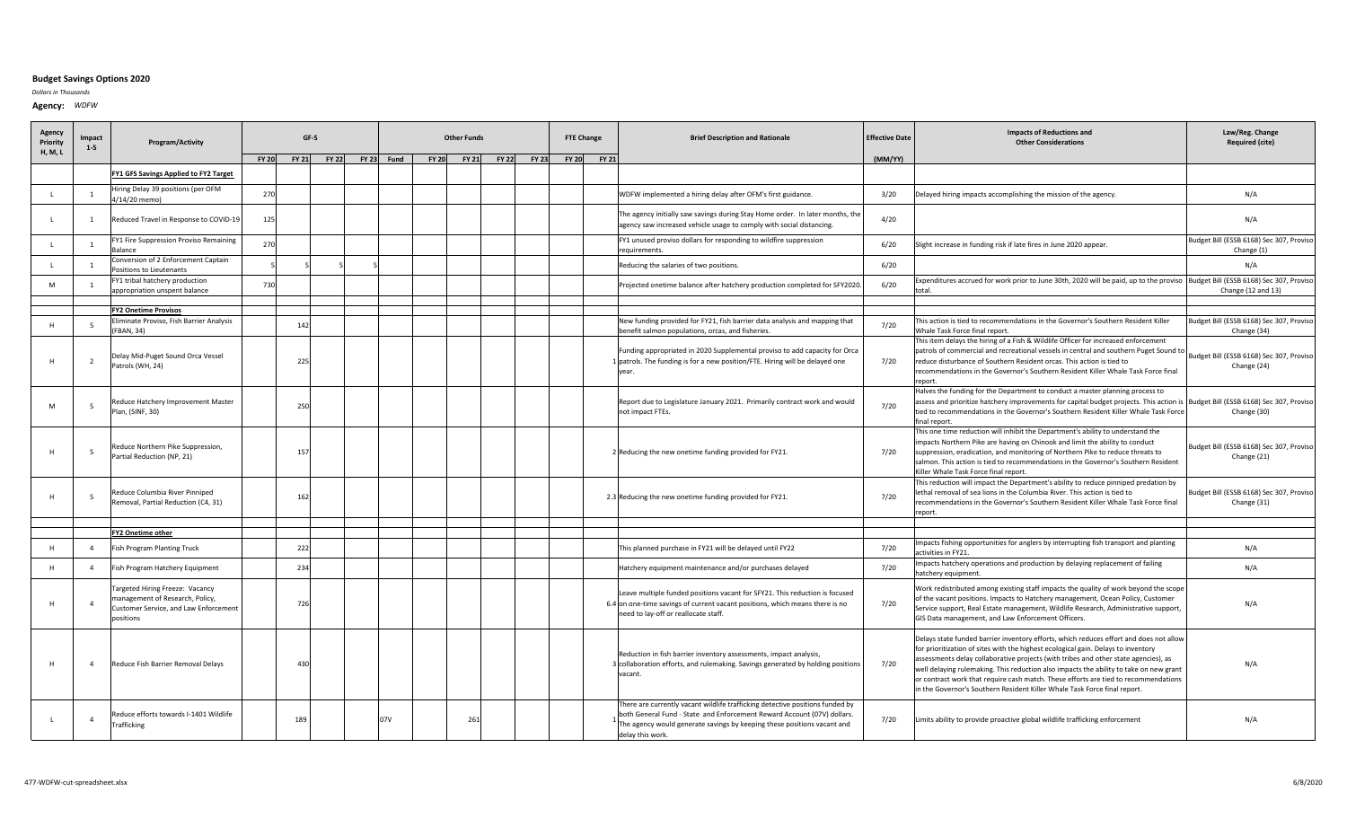## **Budget Savings Options 2020**

*Dollars in Thousands*

**Agency:** *WDFW*

| Agency<br>Priority | Impact<br>$1 - 5$ | <b>Program/Activity</b>                                                                                                 |              |              | GF-S         | <b>Other Funds</b> |              |              |              |              | <b>FTE Change</b> |       | <b>Brief Description and Rationale</b>                                                                                                                                                                                                                  | <b>Effective Date</b> | <b>Impacts of Reductions and</b><br><b>Other Considerations</b>                                                                                                                                                                                                                                                                                                                                                                                                                                                                  | Law/Reg. Change<br><b>Required (cite)</b>               |
|--------------------|-------------------|-------------------------------------------------------------------------------------------------------------------------|--------------|--------------|--------------|--------------------|--------------|--------------|--------------|--------------|-------------------|-------|---------------------------------------------------------------------------------------------------------------------------------------------------------------------------------------------------------------------------------------------------------|-----------------------|----------------------------------------------------------------------------------------------------------------------------------------------------------------------------------------------------------------------------------------------------------------------------------------------------------------------------------------------------------------------------------------------------------------------------------------------------------------------------------------------------------------------------------|---------------------------------------------------------|
| H, M, L            |                   |                                                                                                                         | <b>FY 20</b> | <b>FY 21</b> | <b>FY 22</b> | FY 23 Fund         | <b>FY 20</b> | <b>FY 21</b> | <b>FY 22</b> | <b>FY 23</b> | <b>FY 20</b>      | FY 21 |                                                                                                                                                                                                                                                         | (MM/YY)               |                                                                                                                                                                                                                                                                                                                                                                                                                                                                                                                                  |                                                         |
|                    |                   | FY1 GFS Savings Applied to FY2 Target                                                                                   |              |              |              |                    |              |              |              |              |                   |       |                                                                                                                                                                                                                                                         |                       |                                                                                                                                                                                                                                                                                                                                                                                                                                                                                                                                  |                                                         |
|                    | $\overline{1}$    | Hiring Delay 39 positions (per OFM<br>1/14/20 memo)                                                                     | 27(          |              |              |                    |              |              |              |              |                   |       | WDFW implemented a hiring delay after OFM's first guidance.                                                                                                                                                                                             | 3/20                  | Delayed hiring impacts accomplishing the mission of the agency.                                                                                                                                                                                                                                                                                                                                                                                                                                                                  | N/A                                                     |
| L.                 | $\overline{1}$    | Reduced Travel in Response to COVID-19                                                                                  | 125          |              |              |                    |              |              |              |              |                   |       | he agency initially saw savings during Stay Home order. In later months, the<br>agency saw increased vehicle usage to comply with social distancing.                                                                                                    | 4/20                  |                                                                                                                                                                                                                                                                                                                                                                                                                                                                                                                                  | N/A                                                     |
|                    |                   | FY1 Fire Suppression Proviso Remaining<br>Balance                                                                       | 27           |              |              |                    |              |              |              |              |                   |       | FY1 unused proviso dollars for responding to wildfire suppression<br>equirements.                                                                                                                                                                       | 6/20                  | Slight increase in funding risk if late fires in June 2020 appear.                                                                                                                                                                                                                                                                                                                                                                                                                                                               | Budget Bill (ESSB 6168) Sec 307, Proviso<br>Change (1)  |
| $\mathbf{L}$       | $\overline{1}$    | Conversion of 2 Enforcement Captain<br>Positions to Lieutenants                                                         |              |              |              |                    |              |              |              |              |                   |       | Reducing the salaries of two positions.                                                                                                                                                                                                                 | 6/20                  |                                                                                                                                                                                                                                                                                                                                                                                                                                                                                                                                  | N/A                                                     |
| M                  | 1                 | FY1 tribal hatchery production<br>appropriation unspent balance                                                         | 73           |              |              |                    |              |              |              |              |                   |       | Projected onetime balance after hatchery production completed for SFY2020                                                                                                                                                                               | 6/20                  | Expenditures accrued for work prior to June 30th, 2020 will be paid, up to the proviso Budget Bill (ESSB 6168) Sec 307, Proviso<br>total                                                                                                                                                                                                                                                                                                                                                                                         | Change (12 and 13)                                      |
|                    |                   |                                                                                                                         |              |              |              |                    |              |              |              |              |                   |       |                                                                                                                                                                                                                                                         |                       |                                                                                                                                                                                                                                                                                                                                                                                                                                                                                                                                  |                                                         |
| H                  | 5                 | <b>FY2 Onetime Provisos</b><br>liminate Proviso, Fish Barrier Analysis<br>FBAN, 34)                                     |              | 14           |              |                    |              |              |              |              |                   |       | New funding provided for FY21, fish barrier data analysis and mapping that<br>benefit salmon populations, orcas, and fisheries.                                                                                                                         | 7/20                  | This action is tied to recommendations in the Governor's Southern Resident Killer<br>Whale Task Force final report.                                                                                                                                                                                                                                                                                                                                                                                                              | Budget Bill (ESSB 6168) Sec 307, Proviso<br>Change (34) |
| H                  | $\overline{2}$    | Delay Mid-Puget Sound Orca Vessel<br>Patrols (WH, 24)                                                                   |              | 22!          |              |                    |              |              |              |              |                   |       | Funding appropriated in 2020 Supplemental proviso to add capacity for Orca<br>1 patrols. The funding is for a new position/FTE. Hiring will be delayed one<br>year.                                                                                     | 7/20                  | This item delays the hiring of a Fish & Wildlife Officer for increased enforcement<br>patrols of commercial and recreational vessels in central and southern Puget Sound to<br>reduce disturbance of Southern Resident orcas. This action is tied to<br>recommendations in the Governor's Southern Resident Killer Whale Task Force final<br>report.                                                                                                                                                                             | Budget Bill (ESSB 6168) Sec 307, Proviso<br>Change (24) |
| M                  | 5                 | Reduce Hatchery Improvement Master<br>Plan, (SINF, 30)                                                                  |              | 250          |              |                    |              |              |              |              |                   |       | Report due to Legislature January 2021. Primarily contract work and would<br>not impact FTEs.                                                                                                                                                           | 7/20                  | Halves the funding for the Department to conduct a master planning process to<br>assess and prioritize hatchery improvements for capital budget projects. This action is<br>tied to recommendations in the Governor's Southern Resident Killer Whale Task Force<br>final report.                                                                                                                                                                                                                                                 | Budget Bill (ESSB 6168) Sec 307, Proviso<br>Change (30) |
| H                  | - 5               | Reduce Northern Pike Suppression,<br>Partial Reduction (NP, 21)                                                         |              | 15           |              |                    |              |              |              |              |                   |       | 2 Reducing the new onetime funding provided for FY21.                                                                                                                                                                                                   | 7/20                  | This one time reduction will inhibit the Department's ability to understand the<br>impacts Northern Pike are having on Chinook and limit the ability to conduct<br>suppression, eradication, and monitoring of Northern Pike to reduce threats to<br>salmon. This action is tied to recommendations in the Governor's Southern Resident<br>Killer Whale Task Force final report.                                                                                                                                                 | Budget Bill (ESSB 6168) Sec 307, Proviso<br>Change (21) |
| H                  | 5                 | Reduce Columbia River Pinniped<br>Removal, Partial Reduction (C4, 31)                                                   |              | 162          |              |                    |              |              |              |              |                   |       | 2.3 Reducing the new onetime funding provided for FY21.                                                                                                                                                                                                 | 7/20                  | This reduction will impact the Department's ability to reduce pinniped predation by<br>lethal removal of sea lions in the Columbia River. This action is tied to<br>recommendations in the Governor's Southern Resident Killer Whale Task Force final<br>report.                                                                                                                                                                                                                                                                 | Budget Bill (ESSB 6168) Sec 307, Proviso<br>Change (31) |
|                    |                   |                                                                                                                         |              |              |              |                    |              |              |              |              |                   |       |                                                                                                                                                                                                                                                         |                       |                                                                                                                                                                                                                                                                                                                                                                                                                                                                                                                                  |                                                         |
| H                  | $\overline{4}$    | FY2 Onetime other<br><b>Fish Program Planting Truck</b>                                                                 |              | 222          |              |                    |              |              |              |              |                   |       | This planned purchase in FY21 will be delayed until FY22                                                                                                                                                                                                | 7/20                  | Impacts fishing opportunities for anglers by interrupting fish transport and planting                                                                                                                                                                                                                                                                                                                                                                                                                                            | N/A                                                     |
| H                  | $\overline{4}$    | Fish Program Hatchery Equipment                                                                                         |              | 234          |              |                    |              |              |              |              |                   |       | Hatchery equipment maintenance and/or purchases delayed                                                                                                                                                                                                 | 7/20                  | activities in FY21.<br>Impacts hatchery operations and production by delaying replacement of failing<br>hatchery equipment.                                                                                                                                                                                                                                                                                                                                                                                                      | N/A                                                     |
| H                  | $\Delta$          | argeted Hiring Freeze: Vacancy<br>management of Research, Policy,<br>Customer Service, and Law Enforcement<br>positions |              | 726          |              |                    |              |              |              |              |                   |       | Leave multiple funded positions vacant for SFY21. This reduction is focused<br>6.4 on one-time savings of current vacant positions, which means there is no<br>need to lay-off or reallocate staff                                                      | 7/20                  | Work redistributed among existing staff impacts the quality of work beyond the scope<br>of the vacant positions. Impacts to Hatchery management, Ocean Policy, Customer<br>Service support, Real Estate management, Wildlife Research, Administrative support,<br>GIS Data management, and Law Enforcement Officers.                                                                                                                                                                                                             | N/A                                                     |
| H                  | $\overline{4}$    | Reduce Fish Barrier Removal Delays                                                                                      |              | 430          |              |                    |              |              |              |              |                   |       | Reduction in fish barrier inventory assessments, impact analysis,<br>3 collaboration efforts, and rulemaking. Savings generated by holding positions<br>vacant.                                                                                         | 7/20                  | Delays state funded barrier inventory efforts, which reduces effort and does not allow<br>for prioritization of sites with the highest ecological gain. Delays to inventory<br>assessments delay collaborative projects (with tribes and other state agencies), as<br>well delaying rulemaking. This reduction also impacts the ability to take on new grant<br>or contract work that require cash match. These efforts are tied to recommendations<br>in the Governor's Southern Resident Killer Whale Task Force final report. | N/A                                                     |
|                    | $\overline{4}$    | Reduce efforts towards I-1401 Wildlife<br>Trafficking                                                                   |              | 189          |              | 07V                |              | 261          |              |              |                   |       | There are currently vacant wildlife trafficking detective positions funded by<br>both General Fund - State and Enforcement Reward Account (07V) dollars.<br>The agency would generate savings by keeping these positions vacant and<br>delay this work. | 7/20                  | Limits ability to provide proactive global wildlife trafficking enforcement                                                                                                                                                                                                                                                                                                                                                                                                                                                      | N/A                                                     |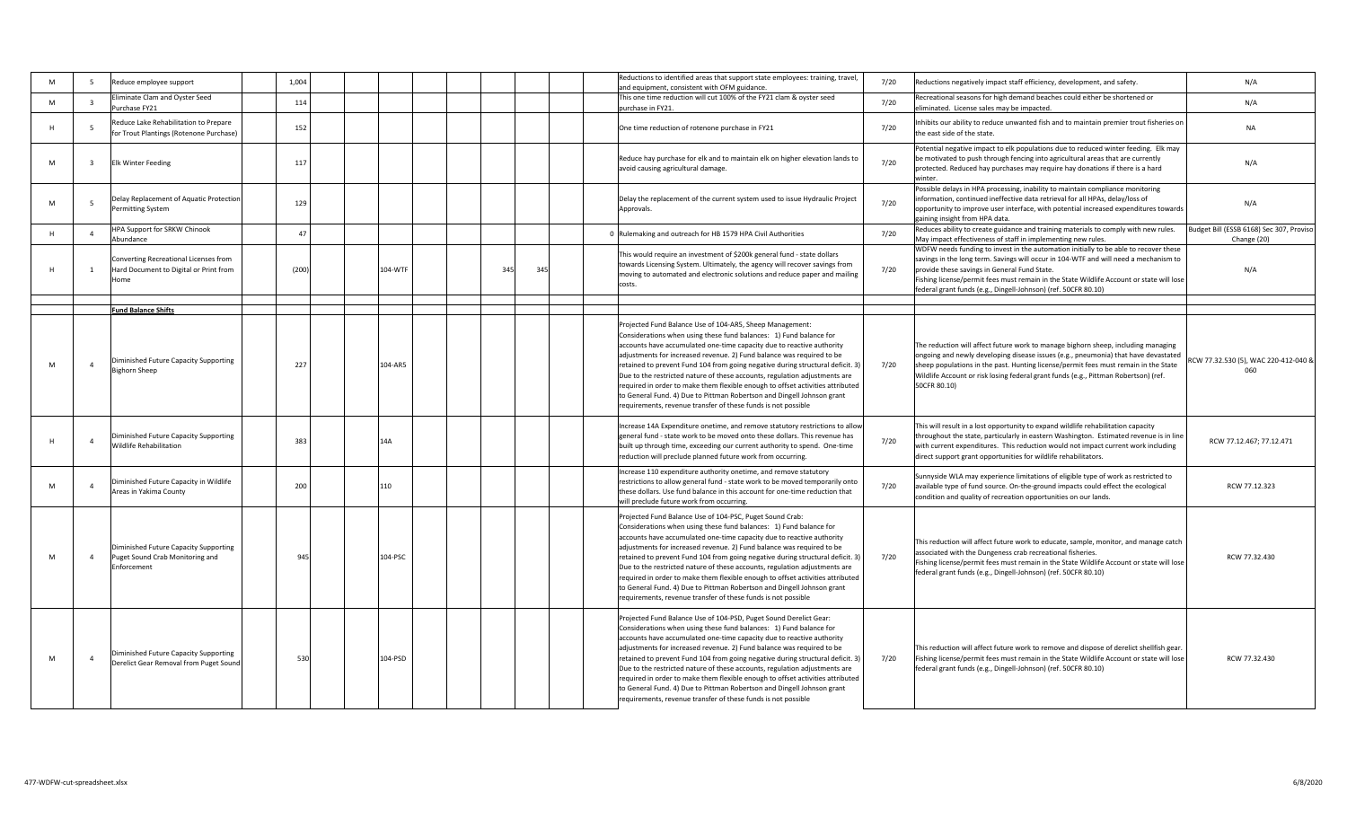| M | -5                      | Reduce employee support                                                                 | 1,004 |     |         |     |     | Reductions to identified areas that support state employees: training, travel,<br>and equipment, consistent with OFM guidance.                                                                                                                                                                                                                                                                                                                                                                                                                                                                                                                                                         | 7/20 | Reductions negatively impact staff efficiency, development, and safety.                                                                                                                                                                                                                                                                                                                    | N/A                                                     |
|---|-------------------------|-----------------------------------------------------------------------------------------|-------|-----|---------|-----|-----|----------------------------------------------------------------------------------------------------------------------------------------------------------------------------------------------------------------------------------------------------------------------------------------------------------------------------------------------------------------------------------------------------------------------------------------------------------------------------------------------------------------------------------------------------------------------------------------------------------------------------------------------------------------------------------------|------|--------------------------------------------------------------------------------------------------------------------------------------------------------------------------------------------------------------------------------------------------------------------------------------------------------------------------------------------------------------------------------------------|---------------------------------------------------------|
| M | $\overline{\mathbf{3}}$ | Eliminate Clam and Oyster Seed<br>Purchase FY21                                         | 114   |     |         |     |     | This one time reduction will cut 100% of the FY21 clam & oyster seed<br>purchase in FY21.                                                                                                                                                                                                                                                                                                                                                                                                                                                                                                                                                                                              | 7/20 | Recreational seasons for high demand beaches could either be shortened or<br>eliminated. License sales may be impacted.                                                                                                                                                                                                                                                                    | N/A                                                     |
|   | 5                       | educe Lake Rehabilitation to Prepare<br>for Trout Plantings (Rotenone Purchase)         | 152   |     |         |     |     | One time reduction of rotenone purchase in FY21                                                                                                                                                                                                                                                                                                                                                                                                                                                                                                                                                                                                                                        | 7/20 | Inhibits our ability to reduce unwanted fish and to maintain premier trout fisheries on<br>the east side of the state.                                                                                                                                                                                                                                                                     | <b>NA</b>                                               |
| M | $\overline{\mathbf{3}}$ | <b>Elk Winter Feeding</b>                                                               | 117   |     |         |     |     | Reduce hay purchase for elk and to maintain elk on higher elevation lands to<br>avoid causing agricultural damage.                                                                                                                                                                                                                                                                                                                                                                                                                                                                                                                                                                     | 7/20 | Potential negative impact to elk populations due to reduced winter feeding. Elk may<br>be motivated to push through fencing into agricultural areas that are currently<br>protected. Reduced hay purchases may require hay donations if there is a hard                                                                                                                                    | N/A                                                     |
| M | 5                       | Delay Replacement of Aquatic Protection<br>Permitting System                            | 129   |     |         |     |     | Delay the replacement of the current system used to issue Hydraulic Project<br>Approvals.                                                                                                                                                                                                                                                                                                                                                                                                                                                                                                                                                                                              | 7/20 | Possible delays in HPA processing, inability to maintain compliance monitoring<br>information, continued ineffective data retrieval for all HPAs, delay/loss of<br>opportunity to improve user interface, with potential increased expenditures towards<br>gaining insight from HPA data.                                                                                                  | N/A                                                     |
| H | $\overline{4}$          | HPA Support for SRKW Chinook<br>Abundance                                               | 47    |     |         |     |     | Rulemaking and outreach for HB 1579 HPA Civil Authorities                                                                                                                                                                                                                                                                                                                                                                                                                                                                                                                                                                                                                              | 7/20 | Reduces ability to create guidance and training materials to comply with new rules.<br>May impact effectiveness of staff in implementing new rules.                                                                                                                                                                                                                                        | Budget Bill (ESSB 6168) Sec 307, Proviso<br>Change (20) |
|   | 1                       | Converting Recreational Licenses from<br>Hard Document to Digital or Print from<br>Home | (200) |     | 104-WTF | 34' | 345 | This would require an investment of \$200k general fund - state dollars<br>towards Licensing System. Ultimately, the agency will recover savings from<br>moving to automated and electronic solutions and reduce paper and mailing<br>costs.                                                                                                                                                                                                                                                                                                                                                                                                                                           | 7/20 | WDFW needs funding to invest in the automation initially to be able to recover these<br>savings in the long term. Savings will occur in 104-WTF and will need a mechanism to<br>provide these savings in General Fund State.<br>Fishing license/permit fees must remain in the State Wildlife Account or state will lose<br>federal grant funds (e.g., Dingell-Johnson) (ref. 50CFR 80.10) | N/A                                                     |
|   |                         | <b>Fund Balance Shifts</b>                                                              |       |     |         |     |     |                                                                                                                                                                                                                                                                                                                                                                                                                                                                                                                                                                                                                                                                                        |      |                                                                                                                                                                                                                                                                                                                                                                                            |                                                         |
| M | $\overline{4}$          | Diminished Future Capacity Supporting<br><b>Bighorn Sheep</b>                           | 227   |     | 104-AR5 |     |     | Projected Fund Balance Use of 104-AR5, Sheep Management:<br>Considerations when using these fund balances: 1) Fund balance for<br>accounts have accumulated one-time capacity due to reactive authority<br>adjustments for increased revenue. 2) Fund balance was required to be<br>retained to prevent Fund 104 from going negative during structural deficit. 3)<br>Due to the restricted nature of these accounts, regulation adjustments are<br>required in order to make them flexible enough to offset activities attributed<br>to General Fund. 4) Due to Pittman Robertson and Dingell Johnson grant<br>requirements, revenue transfer of these funds is not possible          | 7/20 | The reduction will affect future work to manage bighorn sheep, including managing<br>ongoing and newly developing disease issues (e.g., pneumonia) that have devastated<br>sheep populations in the past. Hunting license/permit fees must remain in the State<br>Wildlife Account or risk losing federal grant funds (e.g., Pittman Robertson) (ref.<br>50CFR 80.10)                      | RCW 77.32.530 (5), WAC 220-412-040 &<br>060             |
|   | $\overline{4}$          | Diminished Future Capacity Supporting<br>Wildlife Rehabilitation                        | 383   | 14A |         |     |     | Increase 14A Expenditure onetime, and remove statutory restrictions to allow<br>general fund - state work to be moved onto these dollars. This revenue has<br>built up through time, exceeding our current authority to spend. One-time<br>reduction will preclude planned future work from occurring.                                                                                                                                                                                                                                                                                                                                                                                 | 7/20 | This will result in a lost opportunity to expand wildlife rehabilitation capacity<br>throughout the state, particularly in eastern Washington. Estimated revenue is in line<br>with current expenditures. This reduction would not impact current work including<br>direct support grant opportunities for wildlife rehabilitators.                                                        | RCW 77.12.467: 77.12.471                                |
| M | $\overline{4}$          | Diminished Future Capacity in Wildlife<br>Areas in Yakima County                        | 200   | 110 |         |     |     | Increase 110 expenditure authority onetime, and remove statutory<br>restrictions to allow general fund - state work to be moved temporarily onto<br>these dollars. Use fund balance in this account for one-time reduction that<br>will preclude future work from occurring.                                                                                                                                                                                                                                                                                                                                                                                                           | 7/20 | Sunnyside WLA may experience limitations of eligible type of work as restricted to<br>available type of fund source. On-the-ground impacts could effect the ecological<br>condition and quality of recreation opportunities on our lands.                                                                                                                                                  | RCW 77.12.323                                           |
| M | $\overline{4}$          | Diminished Future Capacity Supporting<br>Puget Sound Crab Monitoring and<br>Enforcement | 945   |     | 104-PSC |     |     | Projected Fund Balance Use of 104-PSC, Puget Sound Crab:<br>Considerations when using these fund balances: 1) Fund balance for<br>accounts have accumulated one-time capacity due to reactive authority<br>adjustments for increased revenue. 2) Fund balance was required to be<br>retained to prevent Fund 104 from going negative during structural deficit. 3)<br>Due to the restricted nature of these accounts, regulation adjustments are<br>required in order to make them flexible enough to offset activities attributed<br>to General Fund. 4) Due to Pittman Robertson and Dingell Johnson grant<br>requirements, revenue transfer of these funds is not possible          | 7/20 | This reduction will affect future work to educate, sample, monitor, and manage catch<br>associated with the Dungeness crab recreational fisheries.<br>Fishing license/permit fees must remain in the State Wildlife Account or state will lose<br>federal grant funds (e.g., Dingell-Johnson) (ref. 50CFR 80.10)                                                                           | RCW 77.32.430                                           |
| M | $\overline{4}$          | Diminished Future Capacity Supporting<br>Derelict Gear Removal from Puget Sound         | 530   |     | 104-PSD |     |     | Projected Fund Balance Use of 104-PSD, Puget Sound Derelict Gear:<br>Considerations when using these fund balances: 1) Fund balance for<br>accounts have accumulated one-time capacity due to reactive authority<br>adjustments for increased revenue. 2) Fund balance was required to be<br>retained to prevent Fund 104 from going negative during structural deficit. 3)<br>Due to the restricted nature of these accounts, regulation adjustments are<br>required in order to make them flexible enough to offset activities attributed<br>to General Fund. 4) Due to Pittman Robertson and Dingell Johnson grant<br>requirements, revenue transfer of these funds is not possible | 7/20 | This reduction will affect future work to remove and dispose of derelict shellfish gear.<br>Fishing license/permit fees must remain in the State Wildlife Account or state will lose<br>federal grant funds (e.g., Dingell-Johnson) (ref. 50CFR 80.10)                                                                                                                                     | RCW 77.32.430                                           |